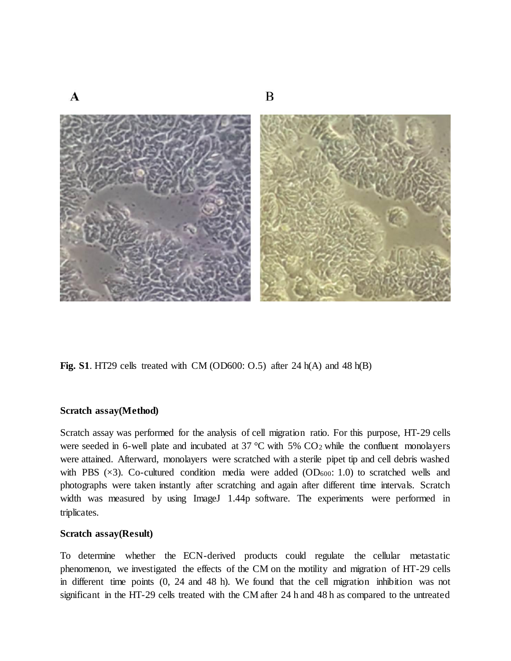

**Fig. S1**. HT29 cells treated with CM (OD600: O.5) after 24 h(A) and 48 h(B)

## **Scratch assay(Method)**

Scratch assay was performed for the analysis of cell migration ratio. For this purpose, HT-29 cells were seeded in 6-well plate and incubated at 37  $\degree$ C with 5% CO<sub>2</sub> while the confluent monolayers were attained. Afterward, monolayers were scratched with a sterile pipet tip and cell debris washed with PBS  $(\times 3)$ . Co-cultured condition media were added  $(OD_{600}: 1.0)$  to scratched wells and photographs were taken instantly after scratching and again after different time intervals. Scratch width was measured by using ImageJ 1.44p software. The experiments were performed in triplicates.

## **Scratch assay(Result)**

To determine whether the ECN-derived products could regulate the cellular metastatic phenomenon, we investigated the effects of the CM on the motility and migration of HT-29 cells in different time points (0, 24 and 48 h). We found that the cell migration inhibition was not significant in the HT-29 cells treated with the CM after 24 h and 48 h as compared to the untreated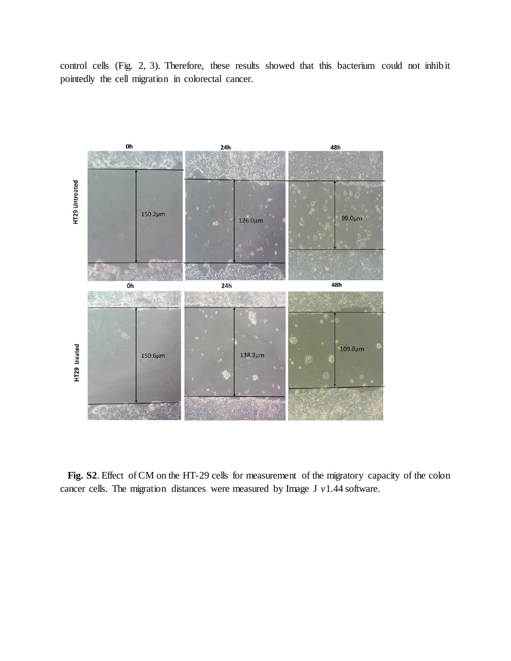control cells (Fig. 2, 3). Therefore, these results showed that this bacterium could not inhibit pointedly the cell migration in colorectal cancer.



 **Fig. S2**. Effect of CM on the HT-29 cells for measurement of the migratory capacity of the colon cancer cells. The migration distances were measured by Image J *v*1.44 software.